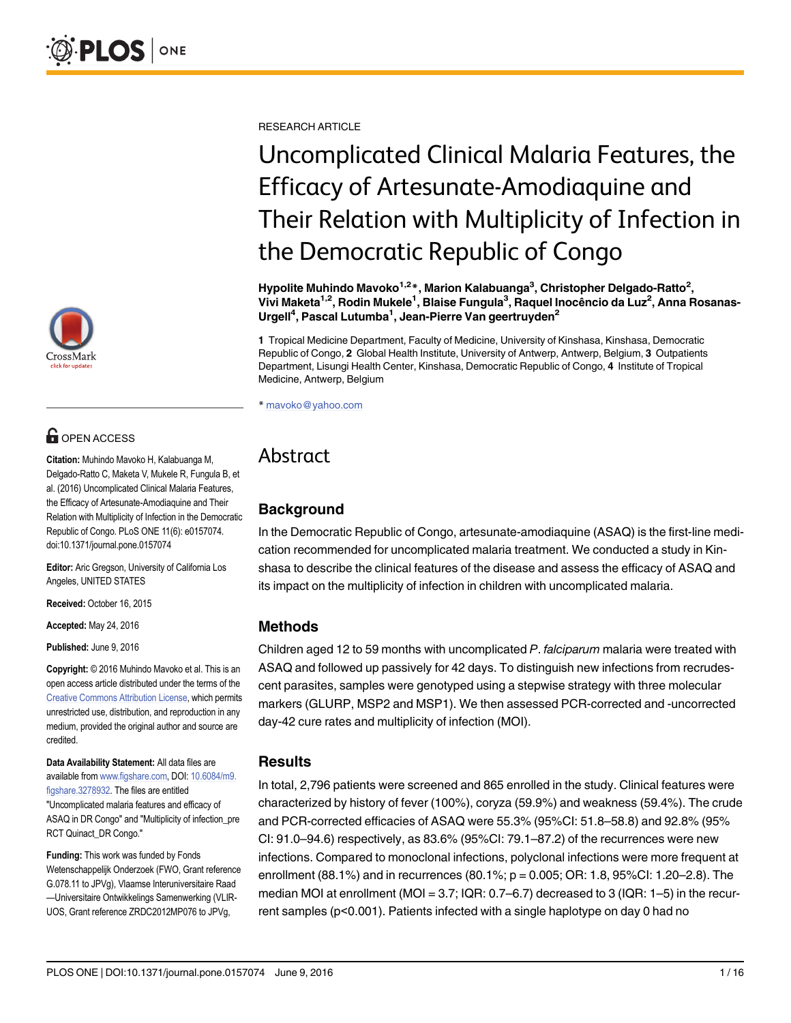

# **OPEN ACCESS**

Citation: Muhindo Mavoko H, Kalabuanga M, Delgado-Ratto C, Maketa V, Mukele R, Fungula B, et al. (2016) Uncomplicated Clinical Malaria Features, the Efficacy of Artesunate-Amodiaquine and Their Relation with Multiplicity of Infection in the Democratic Republic of Congo. PLoS ONE 11(6): e0157074. doi:10.1371/journal.pone.0157074

Editor: Aric Gregson, University of California Los Angeles, UNITED STATES

Received: October 16, 2015

Accepted: May 24, 2016

Published: June 9, 2016

Copyright: © 2016 Muhindo Mavoko et al. This is an open access article distributed under the terms of the [Creative Commons Attribution License,](http://creativecommons.org/licenses/by/4.0/) which permits unrestricted use, distribution, and reproduction in any medium, provided the original author and source are credited.

Data Availability Statement: All data files are available from [www.figshare.com](http://www.figshare.com), DOI: [10.6084/m9.](http://dx.doi.org/10.6084/m9.figshare.3278932) [figshare.3278932](http://dx.doi.org/10.6084/m9.figshare.3278932). The files are entitled "Uncomplicated malaria features and efficacy of ASAQ in DR Congo" and "Multiplicity of infection\_pre RCT Quinact\_DR Congo."

Funding: This work was funded by Fonds Wetenschappelijk Onderzoek (FWO, Grant reference G.078.11 to JPVg), Vlaamse Interuniversitaire Raad —Universitaire Ontwikkelings Samenwerking (VLIR-UOS, Grant reference ZRDC2012MP076 to JPVg,

RESEARCH ARTICLE

# Uncomplicated Clinical Malaria Features, the Efficacy of Artesunate-Amodiaquine and Their Relation with Multiplicity of Infection in the Democratic Republic of Congo

Hypolite Muhindo Mavoko<sup>1,2</sup>\*, Marion Kalabuanga<sup>3</sup>, Christopher Delgado-Ratto<sup>2</sup>, Vivi Maketa<sup>1,2</sup>, Rodin Mukele<sup>1</sup>, Blaise Fungula<sup>3</sup>, Raquel Inocêncio da Luz<sup>2</sup>, Anna Rosanas-Urgell<sup>4</sup>, Pascal Lutumba<sup>1</sup>, Jean-Pierre Van geertruyden<sup>2</sup>

1 Tropical Medicine Department, Faculty of Medicine, University of Kinshasa, Kinshasa, Democratic Republic of Congo, 2 Global Health Institute, University of Antwerp, Antwerp, Belgium, 3 Outpatients Department, Lisungi Health Center, Kinshasa, Democratic Republic of Congo, 4 Institute of Tropical Medicine, Antwerp, Belgium

\* mavoko@yahoo.com

## Abstract

## **Background**

In the Democratic Republic of Congo, artesunate-amodiaquine (ASAQ) is the first-line medication recommended for uncomplicated malaria treatment. We conducted a study in Kinshasa to describe the clinical features of the disease and assess the efficacy of ASAQ and its impact on the multiplicity of infection in children with uncomplicated malaria.

## Methods

Children aged 12 to 59 months with uncomplicated P. falciparum malaria were treated with ASAQ and followed up passively for 42 days. To distinguish new infections from recrudescent parasites, samples were genotyped using a stepwise strategy with three molecular markers (GLURP, MSP2 and MSP1). We then assessed PCR-corrected and -uncorrected day-42 cure rates and multiplicity of infection (MOI).

#### Results

In total, 2,796 patients were screened and 865 enrolled in the study. Clinical features were characterized by history of fever (100%), coryza (59.9%) and weakness (59.4%). The crude and PCR-corrected efficacies of ASAQ were 55.3% (95%CI: 51.8–58.8) and 92.8% (95% CI: 91.0–94.6) respectively, as 83.6% (95%CI: 79.1–87.2) of the recurrences were new infections. Compared to monoclonal infections, polyclonal infections were more frequent at enrollment (88.1%) and in recurrences (80.1%; p = 0.005; OR: 1.8, 95%CI: 1.20–2.8). The median MOI at enrollment (MOI = 3.7; IQR: 0.7–6.7) decreased to 3 (IQR: 1–5) in the recurrent samples (p<0.001). Patients infected with a single haplotype on day 0 had no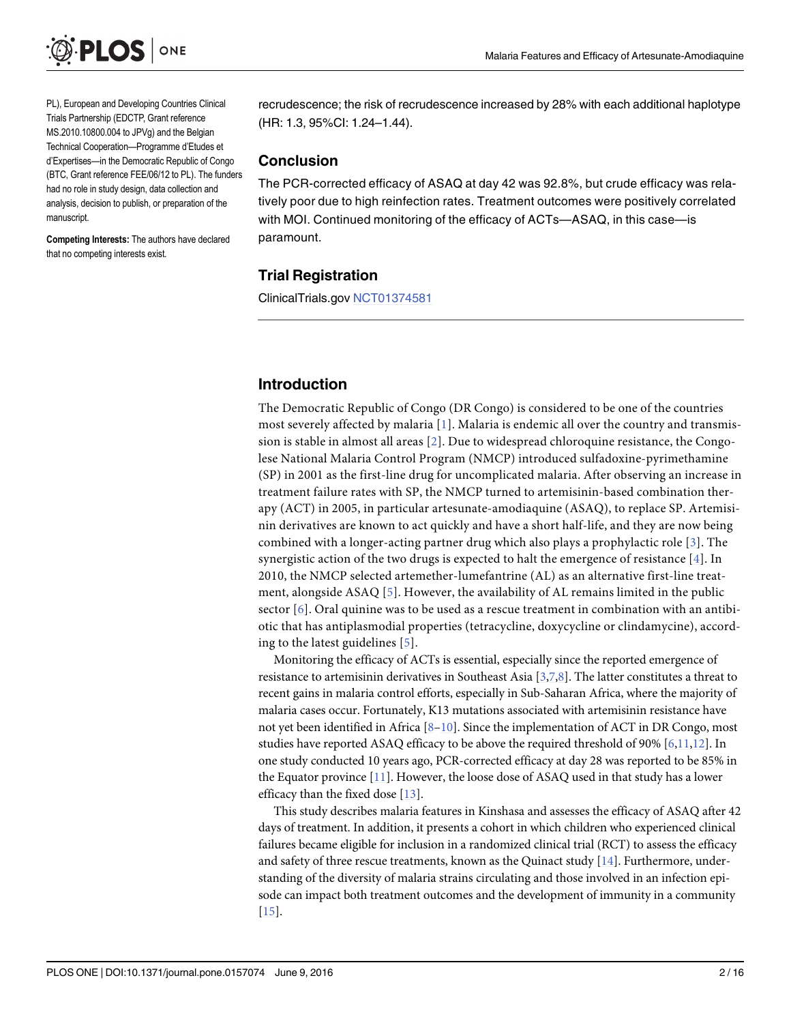<span id="page-1-0"></span>

PL), European and Developing Countries Clinical Trials Partnership (EDCTP, Grant reference MS.2010.10800.004 to JPVg) and the Belgian Technical Cooperation—Programme d'Etudes et d'Expertises—in the Democratic Republic of Congo (BTC, Grant reference FEE/06/12 to PL). The funders had no role in study design, data collection and analysis, decision to publish, or preparation of the manuscript.

Competing Interests: The authors have declared that no competing interests exist.

recrudescence; the risk of recrudescence increased by 28% with each additional haplotype (HR: 1.3, 95%CI: 1.24–1.44).

#### Conclusion

The PCR-corrected efficacy of ASAQ at day 42 was 92.8%, but crude efficacy was relatively poor due to high reinfection rates. Treatment outcomes were positively correlated with MOI. Continued monitoring of the efficacy of ACTs—ASAQ, in this case—is paramount.

#### Trial Registration

ClinicalTrials.gov [NCT01374581](https://www.clinicaltrials.gov/ct2/results?term=NCT01374581&Search=Search)

#### Introduction

The Democratic Republic of Congo (DR Congo) is considered to be one of the countries most severely affected by malaria  $[1]$  $[1]$ . Malaria is endemic all over the country and transmission is stable in almost all areas [[2\]](#page-13-0). Due to widespread chloroquine resistance, the Congolese National Malaria Control Program (NMCP) introduced sulfadoxine-pyrimethamine (SP) in 2001 as the first-line drug for uncomplicated malaria. After observing an increase in treatment failure rates with SP, the NMCP turned to artemisinin-based combination therapy (ACT) in 2005, in particular artesunate-amodiaquine (ASAQ), to replace SP. Artemisinin derivatives are known to act quickly and have a short half-life, and they are now being combined with a longer-acting partner drug which also plays a prophylactic role [\[3](#page-13-0)]. The synergistic action of the two drugs is expected to halt the emergence of resistance  $[\frac{4}{3}]$ . In 2010, the NMCP selected artemether-lumefantrine (AL) as an alternative first-line treatment, alongside ASAQ [[5\]](#page-13-0). However, the availability of AL remains limited in the public sector  $[6]$  $[6]$  $[6]$ . Oral quinine was to be used as a rescue treatment in combination with an antibiotic that has antiplasmodial properties (tetracycline, doxycycline or clindamycine), according to the latest guidelines [[5\]](#page-13-0).

Monitoring the efficacy of ACTs is essential, especially since the reported emergence of resistance to artemisinin derivatives in Southeast Asia [\[3,7,8\]](#page-13-0). The latter constitutes a threat to recent gains in malaria control efforts, especially in Sub-Saharan Africa, where the majority of malaria cases occur. Fortunately, K13 mutations associated with artemisinin resistance have not yet been identified in Africa  $[8-10]$  $[8-10]$  $[8-10]$ . Since the implementation of ACT in DR Congo, most studies have reported ASAQ efficacy to be above the required threshold of 90% [\[6,11,12\]](#page-13-0). In one study conducted 10 years ago, PCR-corrected efficacy at day 28 was reported to be 85% in the Equator province [\[11\]](#page-13-0). However, the loose dose of ASAQ used in that study has a lower efficacy than the fixed dose [[13](#page-13-0)].

This study describes malaria features in Kinshasa and assesses the efficacy of ASAQ after 42 days of treatment. In addition, it presents a cohort in which children who experienced clinical failures became eligible for inclusion in a randomized clinical trial (RCT) to assess the efficacy and safety of three rescue treatments, known as the Quinact study [\[14](#page-14-0)]. Furthermore, understanding of the diversity of malaria strains circulating and those involved in an infection episode can impact both treatment outcomes and the development of immunity in a community [\[15](#page-14-0)].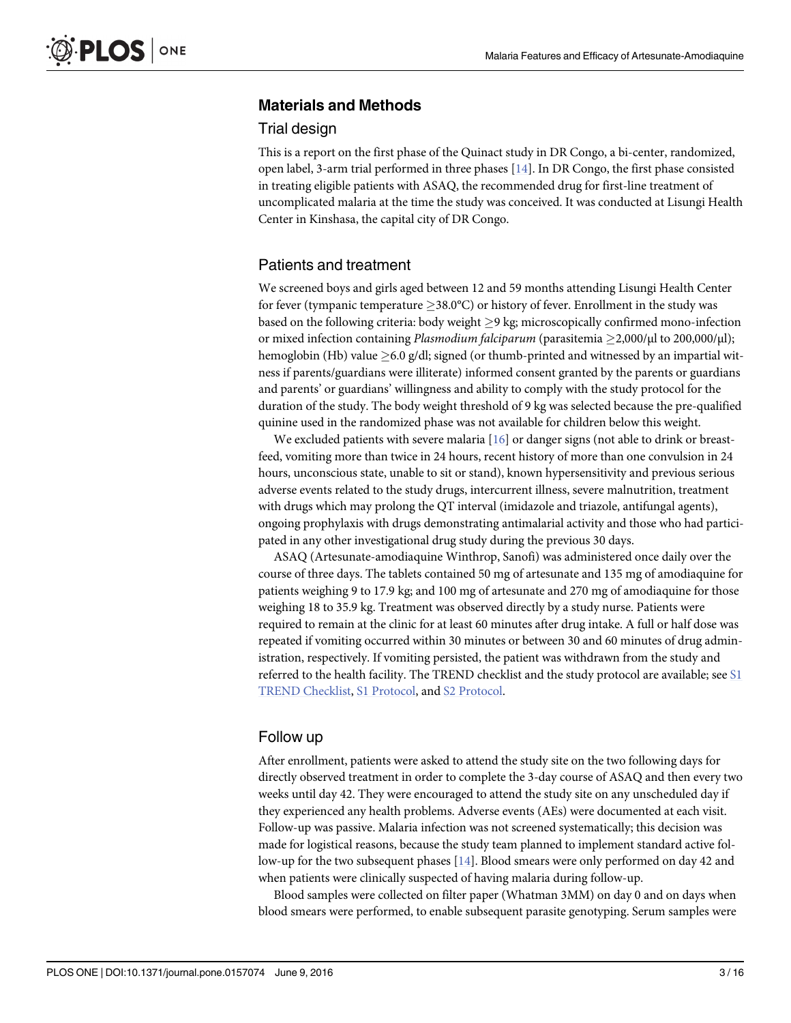## <span id="page-2-0"></span>Materials and Methods

#### Trial design

This is a report on the first phase of the Quinact study in DR Congo, a bi-center, randomized, open label, 3-arm trial performed in three phases [\[14\]](#page-14-0). In DR Congo, the first phase consisted in treating eligible patients with ASAQ, the recommended drug for first-line treatment of uncomplicated malaria at the time the study was conceived. It was conducted at Lisungi Health Center in Kinshasa, the capital city of DR Congo.

#### Patients and treatment

We screened boys and girls aged between 12 and 59 months attending Lisungi Health Center for fever (tympanic temperature  $\geq 38.0^{\circ}$ C) or history of fever. Enrollment in the study was based on the following criteria: body weight  $\geq$ 9 kg; microscopically confirmed mono-infection or mixed infection containing Plasmodium falciparum (parasitemia 2,000/μl to 200,000/μl); hemoglobin (Hb) value  $\geq$  6.0 g/dl; signed (or thumb-printed and witnessed by an impartial witness if parents/guardians were illiterate) informed consent granted by the parents or guardians and parents' or guardians' willingness and ability to comply with the study protocol for the duration of the study. The body weight threshold of 9 kg was selected because the pre-qualified quinine used in the randomized phase was not available for children below this weight.

We excluded patients with severe malaria [\[16](#page-14-0)] or danger signs (not able to drink or breastfeed, vomiting more than twice in 24 hours, recent history of more than one convulsion in 24 hours, unconscious state, unable to sit or stand), known hypersensitivity and previous serious adverse events related to the study drugs, intercurrent illness, severe malnutrition, treatment with drugs which may prolong the QT interval (imidazole and triazole, antifungal agents), ongoing prophylaxis with drugs demonstrating antimalarial activity and those who had participated in any other investigational drug study during the previous 30 days.

ASAQ (Artesunate-amodiaquine Winthrop, Sanofi) was administered once daily over the course of three days. The tablets contained 50 mg of artesunate and 135 mg of amodiaquine for patients weighing 9 to 17.9 kg; and 100 mg of artesunate and 270 mg of amodiaquine for those weighing 18 to 35.9 kg. Treatment was observed directly by a study nurse. Patients were required to remain at the clinic for at least 60 minutes after drug intake. A full or half dose was repeated if vomiting occurred within 30 minutes or between 30 and 60 minutes of drug administration, respectively. If vomiting persisted, the patient was withdrawn from the study and referred to the health facility. The TREND checklist and the study protocol are available; see [S1](#page-12-0) [TREND Checklist,](#page-12-0) [S1 Protocol,](#page-12-0) and [S2 Protocol](#page-12-0).

### Follow up

After enrollment, patients were asked to attend the study site on the two following days for directly observed treatment in order to complete the 3-day course of ASAQ and then every two weeks until day 42. They were encouraged to attend the study site on any unscheduled day if they experienced any health problems. Adverse events (AEs) were documented at each visit. Follow-up was passive. Malaria infection was not screened systematically; this decision was made for logistical reasons, because the study team planned to implement standard active follow-up for the two subsequent phases [[14](#page-14-0)]. Blood smears were only performed on day 42 and when patients were clinically suspected of having malaria during follow-up.

Blood samples were collected on filter paper (Whatman 3MM) on day 0 and on days when blood smears were performed, to enable subsequent parasite genotyping. Serum samples were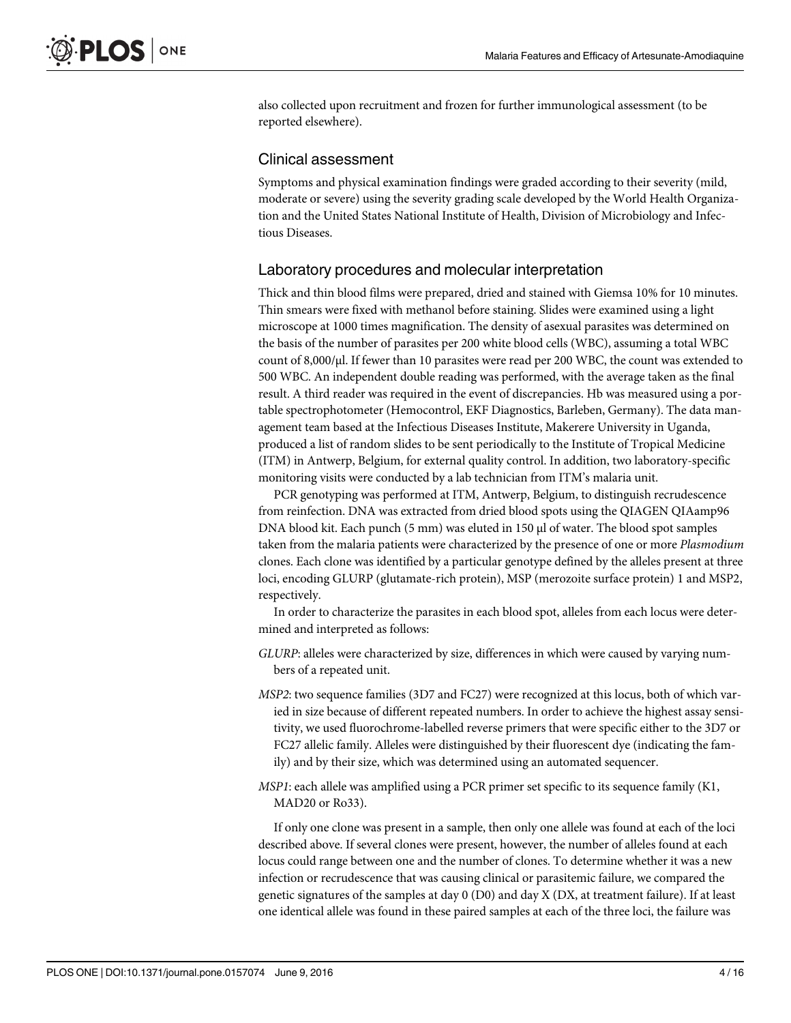also collected upon recruitment and frozen for further immunological assessment (to be reported elsewhere).

#### Clinical assessment

Symptoms and physical examination findings were graded according to their severity (mild, moderate or severe) using the severity grading scale developed by the World Health Organization and the United States National Institute of Health, Division of Microbiology and Infectious Diseases.

### Laboratory procedures and molecular interpretation

Thick and thin blood films were prepared, dried and stained with Giemsa 10% for 10 minutes. Thin smears were fixed with methanol before staining. Slides were examined using a light microscope at 1000 times magnification. The density of asexual parasites was determined on the basis of the number of parasites per 200 white blood cells (WBC), assuming a total WBC count of 8,000/μl. If fewer than 10 parasites were read per 200 WBC, the count was extended to 500 WBC. An independent double reading was performed, with the average taken as the final result. A third reader was required in the event of discrepancies. Hb was measured using a portable spectrophotometer (Hemocontrol, EKF Diagnostics, Barleben, Germany). The data management team based at the Infectious Diseases Institute, Makerere University in Uganda, produced a list of random slides to be sent periodically to the Institute of Tropical Medicine (ITM) in Antwerp, Belgium, for external quality control. In addition, two laboratory-specific monitoring visits were conducted by a lab technician from ITM's malaria unit.

PCR genotyping was performed at ITM, Antwerp, Belgium, to distinguish recrudescence from reinfection. DNA was extracted from dried blood spots using the QIAGEN QIAamp96 DNA blood kit. Each punch (5 mm) was eluted in 150 μl of water. The blood spot samples taken from the malaria patients were characterized by the presence of one or more Plasmodium clones. Each clone was identified by a particular genotype defined by the alleles present at three loci, encoding GLURP (glutamate-rich protein), MSP (merozoite surface protein) 1 and MSP2, respectively.

In order to characterize the parasites in each blood spot, alleles from each locus were determined and interpreted as follows:

- GLURP: alleles were characterized by size, differences in which were caused by varying numbers of a repeated unit.
- MSP2: two sequence families (3D7 and FC27) were recognized at this locus, both of which varied in size because of different repeated numbers. In order to achieve the highest assay sensitivity, we used fluorochrome-labelled reverse primers that were specific either to the 3D7 or FC27 allelic family. Alleles were distinguished by their fluorescent dye (indicating the family) and by their size, which was determined using an automated sequencer.
- MSP1: each allele was amplified using a PCR primer set specific to its sequence family (K1, MAD20 or Ro33).

If only one clone was present in a sample, then only one allele was found at each of the loci described above. If several clones were present, however, the number of alleles found at each locus could range between one and the number of clones. To determine whether it was a new infection or recrudescence that was causing clinical or parasitemic failure, we compared the genetic signatures of the samples at day  $0$  (D0) and day X (DX, at treatment failure). If at least one identical allele was found in these paired samples at each of the three loci, the failure was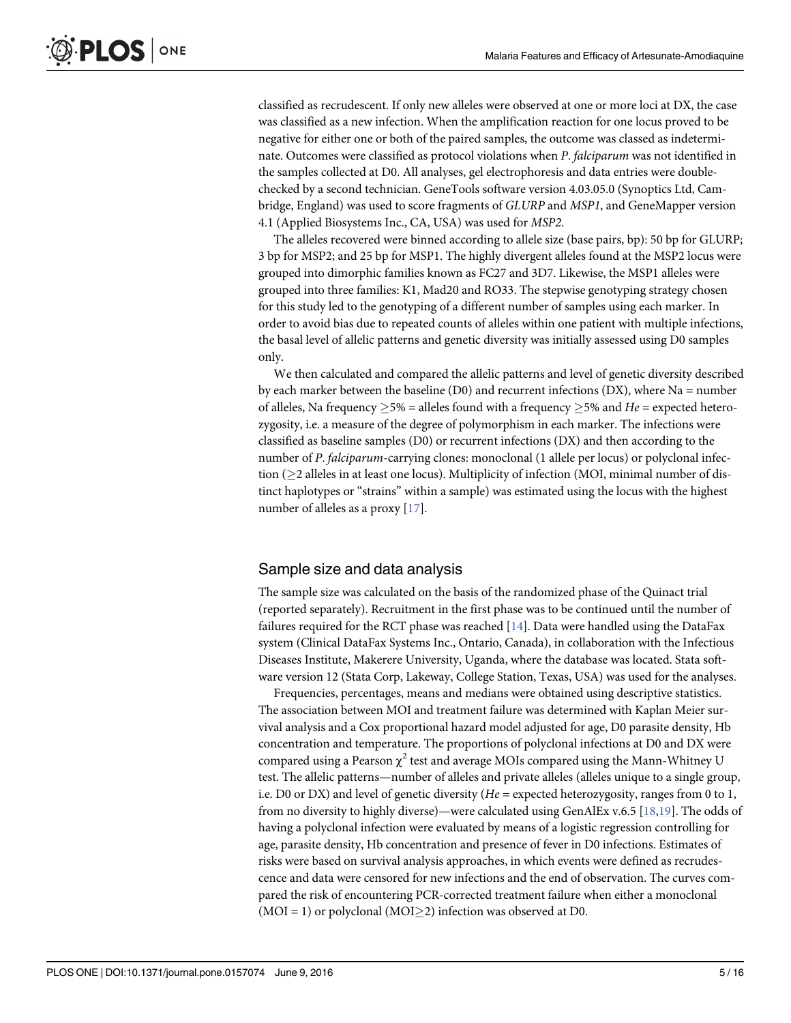<span id="page-4-0"></span>classified as recrudescent. If only new alleles were observed at one or more loci at DX, the case was classified as a new infection. When the amplification reaction for one locus proved to be negative for either one or both of the paired samples, the outcome was classed as indeterminate. Outcomes were classified as protocol violations when P. falciparum was not identified in the samples collected at D0. All analyses, gel electrophoresis and data entries were doublechecked by a second technician. GeneTools software version 4.03.05.0 (Synoptics Ltd, Cambridge, England) was used to score fragments of GLURP and MSP1, and GeneMapper version 4.1 (Applied Biosystems Inc., CA, USA) was used for MSP2.

The alleles recovered were binned according to allele size (base pairs, bp): 50 bp for GLURP; 3 bp for MSP2; and 25 bp for MSP1. The highly divergent alleles found at the MSP2 locus were grouped into dimorphic families known as FC27 and 3D7. Likewise, the MSP1 alleles were grouped into three families: K1, Mad20 and RO33. The stepwise genotyping strategy chosen for this study led to the genotyping of a different number of samples using each marker. In order to avoid bias due to repeated counts of alleles within one patient with multiple infections, the basal level of allelic patterns and genetic diversity was initially assessed using D0 samples only.

We then calculated and compared the allelic patterns and level of genetic diversity described by each marker between the baseline (D0) and recurrent infections (DX), where Na = number of alleles, Na frequency  $> 5\%$  = alleles found with a frequency  $> 5\%$  and He = expected heterozygosity, i.e. a measure of the degree of polymorphism in each marker. The infections were classified as baseline samples (D0) or recurrent infections (DX) and then according to the number of P. falciparum-carrying clones: monoclonal (1 allele per locus) or polyclonal infection (2 alleles in at least one locus). Multiplicity of infection (MOI, minimal number of distinct haplotypes or "strains" within a sample) was estimated using the locus with the highest number of alleles as a proxy [[17](#page-14-0)].

#### Sample size and data analysis

The sample size was calculated on the basis of the randomized phase of the Quinact trial (reported separately). Recruitment in the first phase was to be continued until the number of failures required for the RCT phase was reached  $[14]$  $[14]$ . Data were handled using the DataFax system (Clinical DataFax Systems Inc., Ontario, Canada), in collaboration with the Infectious Diseases Institute, Makerere University, Uganda, where the database was located. Stata software version 12 (Stata Corp, Lakeway, College Station, Texas, USA) was used for the analyses.

Frequencies, percentages, means and medians were obtained using descriptive statistics. The association between MOI and treatment failure was determined with Kaplan Meier survival analysis and a Cox proportional hazard model adjusted for age, D0 parasite density, Hb concentration and temperature. The proportions of polyclonal infections at D0 and DX were compared using a Pearson  $\chi^2$  test and average MOIs compared using the Mann-Whitney U test. The allelic patterns—number of alleles and private alleles (alleles unique to a single group, i.e. D0 or DX) and level of genetic diversity ( $He =$  expected heterozygosity, ranges from 0 to 1, from no diversity to highly diverse)—were calculated using GenAlEx v.6.5 [\[18,19\]](#page-14-0). The odds of having a polyclonal infection were evaluated by means of a logistic regression controlling for age, parasite density, Hb concentration and presence of fever in D0 infections. Estimates of risks were based on survival analysis approaches, in which events were defined as recrudescence and data were censored for new infections and the end of observation. The curves compared the risk of encountering PCR-corrected treatment failure when either a monoclonal (MOI = 1) or polyclonal (MOI $\geq$ 2) infection was observed at D0.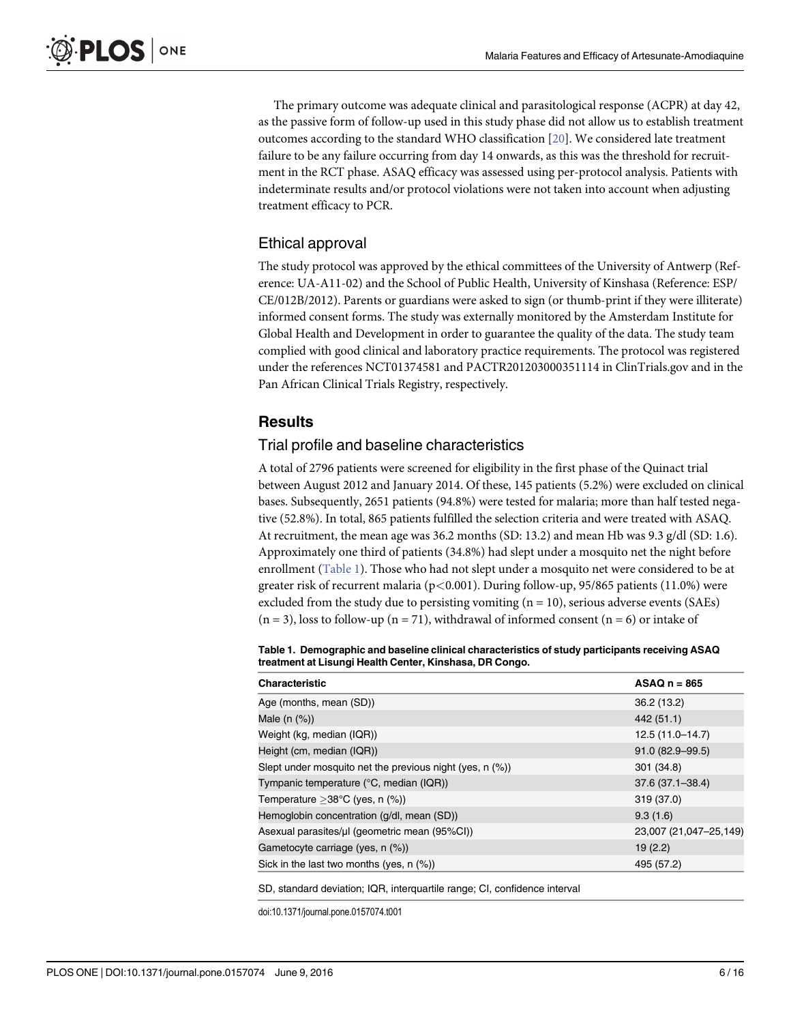<span id="page-5-0"></span>The primary outcome was adequate clinical and parasitological response (ACPR) at day 42, as the passive form of follow-up used in this study phase did not allow us to establish treatment outcomes according to the standard WHO classification  $[20]$  $[20]$  $[20]$ . We considered late treatment failure to be any failure occurring from day 14 onwards, as this was the threshold for recruitment in the RCT phase. ASAQ efficacy was assessed using per-protocol analysis. Patients with indeterminate results and/or protocol violations were not taken into account when adjusting treatment efficacy to PCR.

## Ethical approval

The study protocol was approved by the ethical committees of the University of Antwerp (Reference: UA-A11-02) and the School of Public Health, University of Kinshasa (Reference: ESP/ CE/012B/2012). Parents or guardians were asked to sign (or thumb-print if they were illiterate) informed consent forms. The study was externally monitored by the Amsterdam Institute for Global Health and Development in order to guarantee the quality of the data. The study team complied with good clinical and laboratory practice requirements. The protocol was registered under the references NCT01374581 and PACTR201203000351114 in ClinTrials.gov and in the Pan African Clinical Trials Registry, respectively.

## Results

#### Trial profile and baseline characteristics

A total of 2796 patients were screened for eligibility in the first phase of the Quinact trial between August 2012 and January 2014. Of these, 145 patients (5.2%) were excluded on clinical bases. Subsequently, 2651 patients (94.8%) were tested for malaria; more than half tested negative (52.8%). In total, 865 patients fulfilled the selection criteria and were treated with ASAQ. At recruitment, the mean age was 36.2 months (SD: 13.2) and mean Hb was 9.3 g/dl (SD: 1.6). Approximately one third of patients (34.8%) had slept under a mosquito net the night before enrollment (Table 1). Those who had not slept under a mosquito net were considered to be at greater risk of recurrent malaria ( $p<0.001$ ). During follow-up, 95/865 patients (11.0%) were excluded from the study due to persisting vomiting  $(n = 10)$ , serious adverse events (SAEs)  $(n = 3)$ , loss to follow-up  $(n = 71)$ , withdrawal of informed consent  $(n = 6)$  or intake of

Table 1. Demographic and baseline clinical characteristics of study participants receiving ASAQ treatment at Lisungi Health Center, Kinshasa, DR Congo.

| <b>Characteristic</b>                                    | $ASAOn = 865$          |
|----------------------------------------------------------|------------------------|
| Age (months, mean (SD))                                  | 36.2 (13.2)            |
| Male $(n$ $(\%)$                                         | 442 (51.1)             |
| Weight (kg, median (IQR))                                | $12.5(11.0-14.7)$      |
| Height (cm, median (IQR))                                | $91.0 (82.9 - 99.5)$   |
| Slept under mosquito net the previous night (yes, n (%)) | 301 (34.8)             |
| Tympanic temperature (°C, median (IQR))                  | $37.6(37.1 - 38.4)$    |
| Temperature $>38^{\circ}$ C (yes, n (%))                 | 319 (37.0)             |
| Hemoglobin concentration (g/dl, mean (SD))               | 9.3(1.6)               |
| Asexual parasites/ul (geometric mean (95%CI))            | 23,007 (21,047-25,149) |
| Gametocyte carriage (yes, n (%))                         | 19(2.2)                |
| Sick in the last two months (yes, $n$ $(\%)$ )           | 495 (57.2)             |
|                                                          |                        |

SD, standard deviation; IQR, interquartile range; CI, confidence interval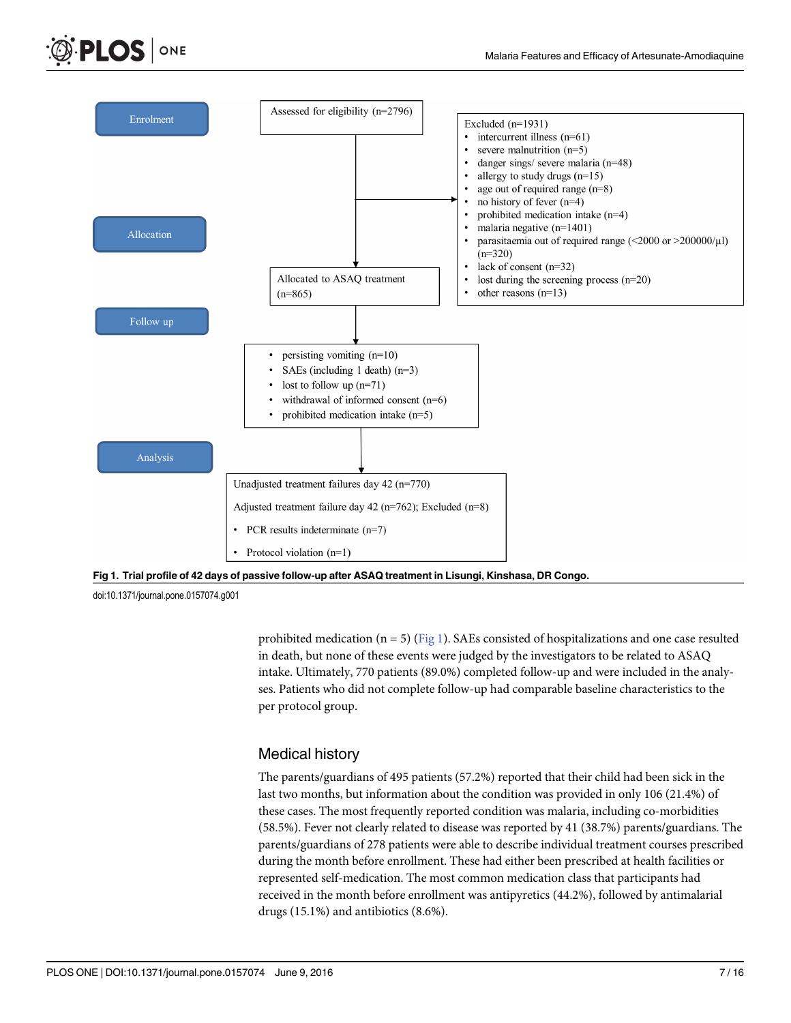





doi:10.1371/journal.pone.0157074.g001

prohibited medication ( $n = 5$ ) ( $Fig 1$ ). SAEs consisted of hospitalizations and one case resulted in death, but none of these events were judged by the investigators to be related to ASAQ intake. Ultimately, 770 patients (89.0%) completed follow-up and were included in the analyses. Patients who did not complete follow-up had comparable baseline characteristics to the per protocol group.

#### Medical history

The parents/guardians of 495 patients (57.2%) reported that their child had been sick in the last two months, but information about the condition was provided in only 106 (21.4%) of these cases. The most frequently reported condition was malaria, including co-morbidities (58.5%). Fever not clearly related to disease was reported by 41 (38.7%) parents/guardians. The parents/guardians of 278 patients were able to describe individual treatment courses prescribed during the month before enrollment. These had either been prescribed at health facilities or represented self-medication. The most common medication class that participants had received in the month before enrollment was antipyretics (44.2%), followed by antimalarial drugs (15.1%) and antibiotics (8.6%).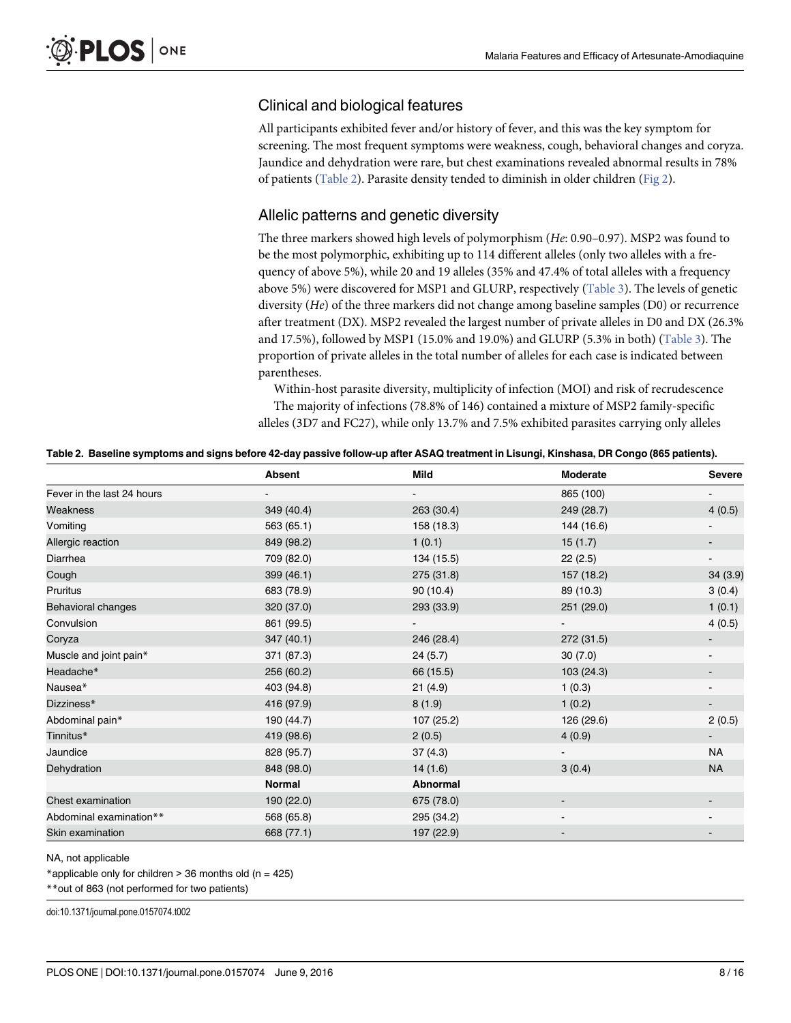#### <span id="page-7-0"></span>Clinical and biological features

All participants exhibited fever and/or history of fever, and this was the key symptom for screening. The most frequent symptoms were weakness, cough, behavioral changes and coryza. Jaundice and dehydration were rare, but chest examinations revealed abnormal results in 78% of patients (Table 2). Parasite density tended to diminish in older children ([Fig 2](#page-8-0)).

### Allelic patterns and genetic diversity

The three markers showed high levels of polymorphism (He: 0.90–0.97). MSP2 was found to be the most polymorphic, exhibiting up to 114 different alleles (only two alleles with a frequency of above 5%), while 20 and 19 alleles (35% and 47.4% of total alleles with a frequency above 5%) were discovered for MSP1 and GLURP, respectively [\(Table 3](#page-8-0)). The levels of genetic diversity (He) of the three markers did not change among baseline samples (D0) or recurrence after treatment (DX). MSP2 revealed the largest number of private alleles in D0 and DX (26.3% and 17.5%), followed by MSP1 (15.0% and 19.0%) and GLURP (5.3% in both) ([Table 3\)](#page-8-0). The proportion of private alleles in the total number of alleles for each case is indicated between parentheses.

Within-host parasite diversity, multiplicity of infection (MOI) and risk of recrudescence The majority of infections (78.8% of 146) contained a mixture of MSP2 family-specific alleles (3D7 and FC27), while only 13.7% and 7.5% exhibited parasites carrying only alleles

| Table 2. Baseline symptoms and signs before 42-day passive follow-up after ASAQ treatment in Lisungi, Kinshasa, DR Congo (865 patients). |  |  |  |  |
|------------------------------------------------------------------------------------------------------------------------------------------|--|--|--|--|
|------------------------------------------------------------------------------------------------------------------------------------------|--|--|--|--|

|                            | <b>Absent</b> | Mild       | Moderate   | <b>Severe</b> |
|----------------------------|---------------|------------|------------|---------------|
| Fever in the last 24 hours |               |            | 865 (100)  |               |
| Weakness                   | 349 (40.4)    | 263 (30.4) | 249 (28.7) | 4(0.5)        |
| Vomiting                   | 563 (65.1)    | 158 (18.3) | 144 (16.6) |               |
| Allergic reaction          | 849 (98.2)    | 1(0.1)     | 15(1.7)    |               |
| Diarrhea                   | 709 (82.0)    | 134 (15.5) | 22(2.5)    |               |
| Cough                      | 399 (46.1)    | 275 (31.8) | 157 (18.2) | 34 (3.9)      |
| Pruritus                   | 683 (78.9)    | 90(10.4)   | 89 (10.3)  | 3(0.4)        |
| Behavioral changes         | 320 (37.0)    | 293 (33.9) | 251 (29.0) | 1(0.1)        |
| Convulsion                 | 861 (99.5)    |            |            | 4(0.5)        |
| Coryza                     | 347 (40.1)    | 246 (28.4) | 272 (31.5) |               |
| Muscle and joint pain*     | 371 (87.3)    | 24 (5.7)   | 30(7.0)    |               |
| Headache*                  | 256 (60.2)    | 66 (15.5)  | 103(24.3)  |               |
| Nausea*                    | 403 (94.8)    | 21(4.9)    | 1(0.3)     |               |
| Dizziness*                 | 416 (97.9)    | 8(1.9)     | 1(0.2)     |               |
| Abdominal pain*            | 190 (44.7)    | 107 (25.2) | 126 (29.6) | 2(0.5)        |
| Tinnitus*                  | 419 (98.6)    | 2(0.5)     | 4(0.9)     |               |
| Jaundice                   | 828 (95.7)    | 37(4.3)    |            | <b>NA</b>     |
| Dehydration                | 848 (98.0)    | 14(1.6)    | 3(0.4)     | <b>NA</b>     |
|                            | <b>Normal</b> | Abnormal   |            |               |
| Chest examination          | 190 (22.0)    | 675 (78.0) |            |               |
| Abdominal examination**    | 568 (65.8)    | 295 (34.2) |            |               |
| Skin examination           | 668 (77.1)    | 197 (22.9) |            |               |

NA, not applicable

\*applicable only for children > 36 months old (n = 425)

\*\*out of 863 (not performed for two patients)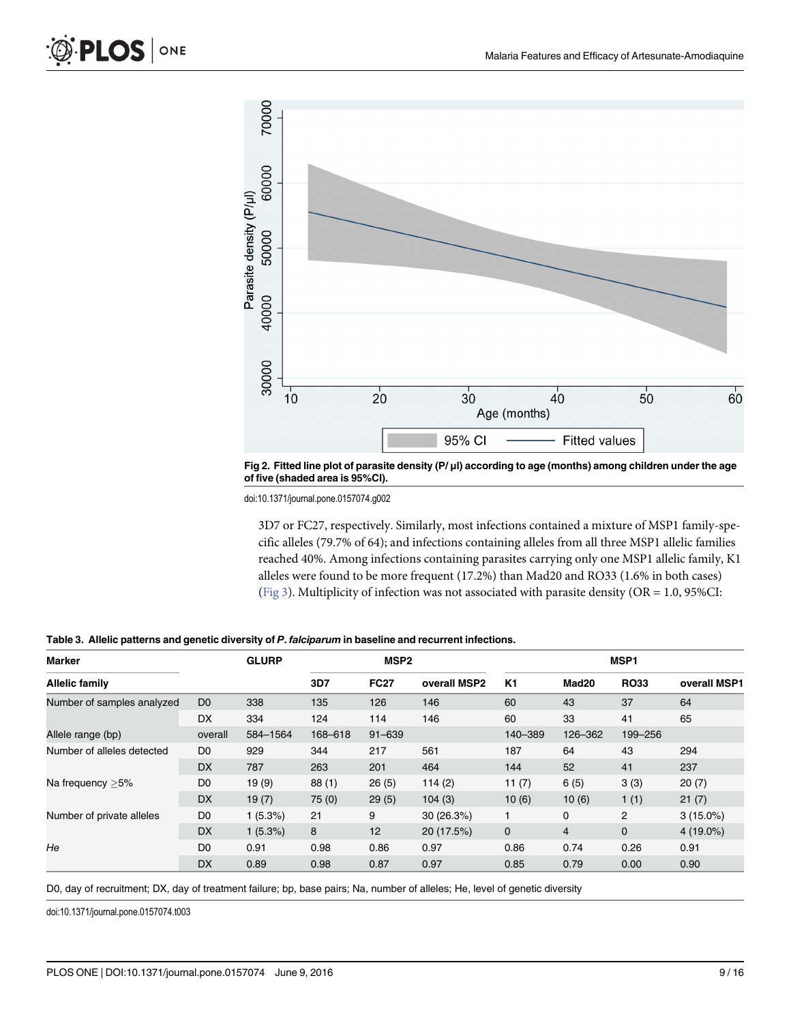<span id="page-8-0"></span>

[Fig 2. F](#page-7-0)itted line plot of parasite density (P/ μl) according to age (months) among children under the age of five (shaded area is 95%CI).

doi:10.1371/journal.pone.0157074.g002

3D7 or FC27, respectively. Similarly, most infections contained a mixture of MSP1 family-specific alleles (79.7% of 64); and infections containing alleles from all three MSP1 allelic families reached 40%. Among infections containing parasites carrying only one MSP1 allelic family, K1 alleles were found to be more frequent (17.2%) than Mad20 and RO33 (1.6% in both cases) [\(Fig 3\)](#page-9-0). Multiplicity of infection was not associated with parasite density (OR =  $1.0$ , 95%CI:

| Marker                     |                | <b>GLURP</b> | MSP <sub>2</sub> |                 |              | MSP <sub>1</sub> |                |                |              |
|----------------------------|----------------|--------------|------------------|-----------------|--------------|------------------|----------------|----------------|--------------|
| <b>Allelic family</b>      |                |              | 3D7              | <b>FC27</b>     | overall MSP2 | K <sub>1</sub>   | Mad20          | <b>RO33</b>    | overall MSP1 |
| Number of samples analyzed | D <sub>0</sub> | 338          | 135              | 126             | 146          | 60               | 43             | 37             | 64           |
|                            | <b>DX</b>      | 334          | 124              | 114             | 146          | 60               | 33             | 41             | 65           |
| Allele range (bp)          | overall        | 584-1564     | 168-618          | $91 - 639$      |              | 140-389          | 126-362        | 199-256        |              |
| Number of alleles detected | D <sub>0</sub> | 929          | 344              | 217             | 561          | 187              | 64             | 43             | 294          |
|                            | <b>DX</b>      | 787          | 263              | 201             | 464          | 144              | 52             | 41             | 237          |
| Na frequency $>5\%$        | D <sub>0</sub> | 19(9)        | 88(1)            | 26(5)           | 114(2)       | 11 $(7)$         | 6(5)           | 3(3)           | 20(7)        |
|                            | <b>DX</b>      | 19(7)        | 75(0)            | 29(5)           | 104(3)       | 10(6)            | 10(6)          | 1(1)           | 21(7)        |
| Number of private alleles  | D <sub>0</sub> | 1(5.3%)      | 21               | 9               | 30(26.3%)    |                  | $\mathbf 0$    | $\overline{2}$ | $3(15.0\%)$  |
|                            | <b>DX</b>      | $1(5.3\%)$   | 8                | 12 <sup>2</sup> | 20 (17.5%)   | $\mathbf 0$      | $\overline{4}$ | $\mathbf 0$    | $4(19.0\%)$  |
| He                         | D <sub>0</sub> | 0.91         | 0.98             | 0.86            | 0.97         | 0.86             | 0.74           | 0.26           | 0.91         |
|                            | <b>DX</b>      | 0.89         | 0.98             | 0.87            | 0.97         | 0.85             | 0.79           | 0.00           | 0.90         |

[Table 3.](#page-7-0) Allelic patterns and genetic diversity of P. falciparum in baseline and recurrent infections.

D0, day of recruitment; DX, day of treatment failure; bp, base pairs; Na, number of alleles; He, level of genetic diversity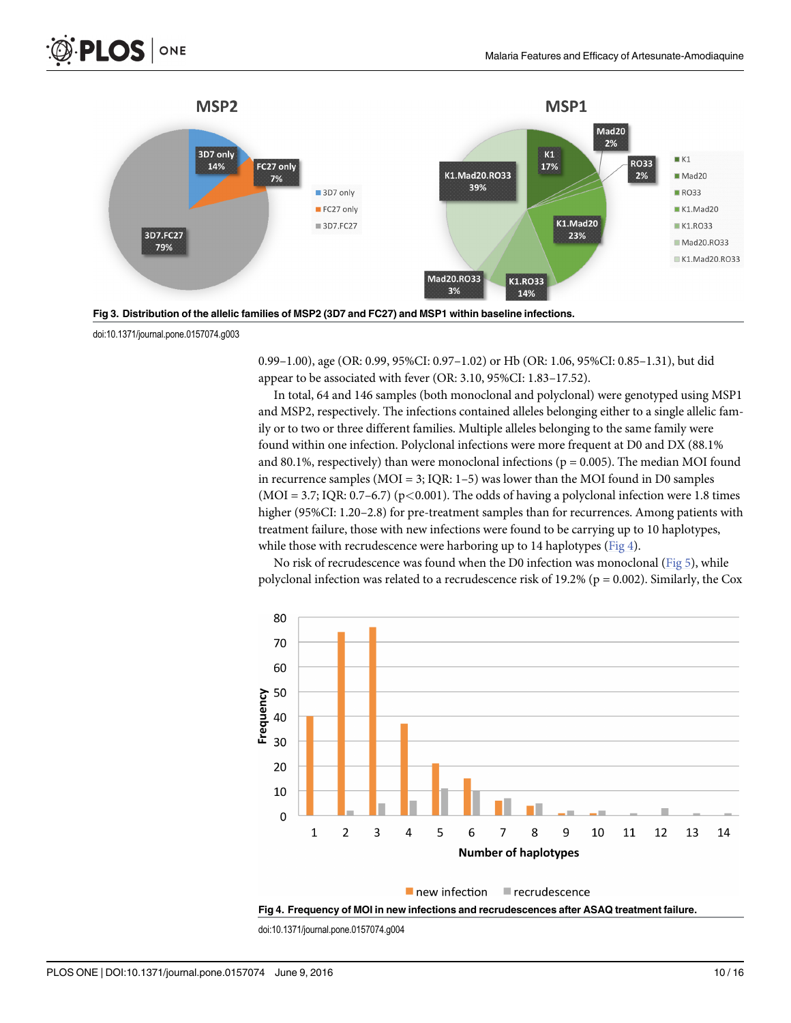



doi:10.1371/journal.pone.0157074.g003

ONE

<span id="page-9-0"></span>**PLOS I** 

0.99–1.00), age (OR: 0.99, 95%CI: 0.97–1.02) or Hb (OR: 1.06, 95%CI: 0.85–1.31), but did appear to be associated with fever (OR: 3.10, 95%CI: 1.83–17.52).

In total, 64 and 146 samples (both monoclonal and polyclonal) were genotyped using MSP1 and MSP2, respectively. The infections contained alleles belonging either to a single allelic family or to two or three different families. Multiple alleles belonging to the same family were found within one infection. Polyclonal infections were more frequent at D0 and DX (88.1% and 80.1%, respectively) than were monoclonal infections ( $p = 0.005$ ). The median MOI found in recurrence samples ( $MOI = 3$ ;  $IQR: 1-5$ ) was lower than the MOI found in D0 samples  $(MOI = 3.7; IQR: 0.7–6.7)$  (p<0.001). The odds of having a polyclonal infection were 1.8 times higher (95%CI: 1.20–2.8) for pre-treatment samples than for recurrences. Among patients with treatment failure, those with new infections were found to be carrying up to 10 haplotypes, while those with recrudescence were harboring up to 14 haplotypes ( $Fig 4$ ).

No risk of recrudescence was found when the D0 infection was monoclonal ([Fig 5\)](#page-10-0), while polyclonal infection was related to a recrudescence risk of  $19.2\%$  (p = 0.002). Similarly, the Cox



Fig 4. Frequency of MOI in new infections and recrudescences after ASAQ treatment failure.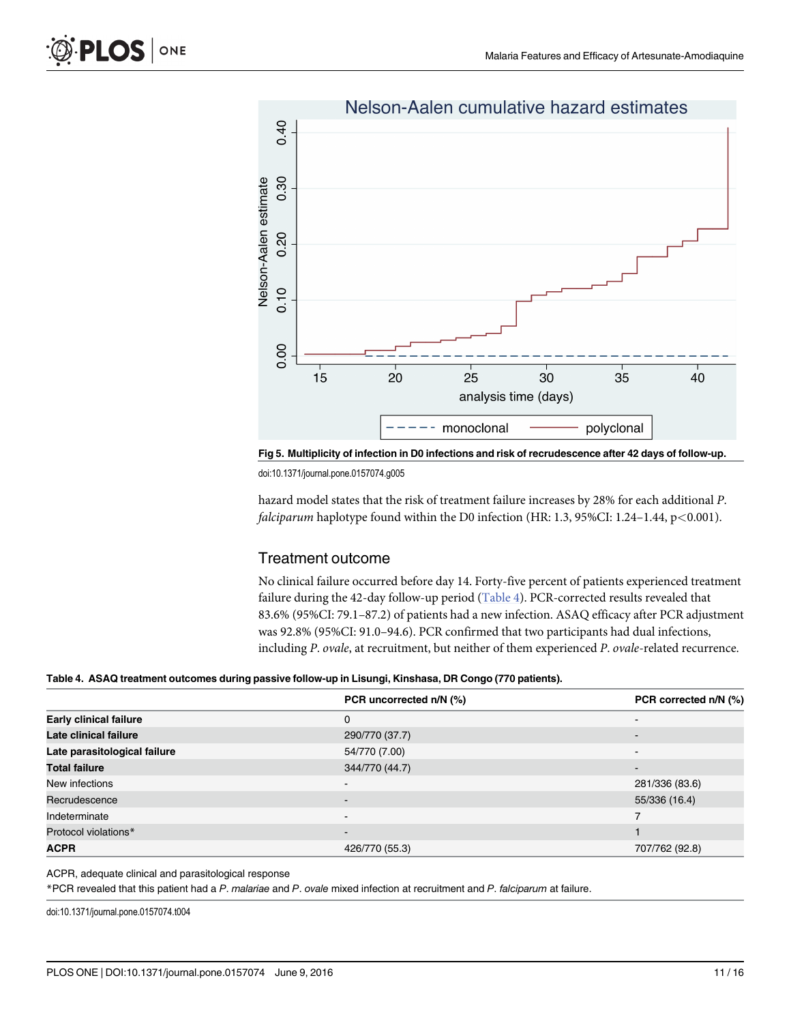<span id="page-10-0"></span>

## Nelson-Aalen cumulative hazard estimates

[Fig 5. M](#page-9-0)ultiplicity of infection in D0 infections and risk of recrudescence after 42 days of follow-up.

doi:10.1371/journal.pone.0157074.g005

hazard model states that the risk of treatment failure increases by 28% for each additional P. falciparum haplotype found within the D0 infection (HR: 1.3, 95%CI: 1.24–1.44, p<0.001).

## Treatment outcome

No clinical failure occurred before day 14. Forty-five percent of patients experienced treatment failure during the 42-day follow-up period (Table 4). PCR-corrected results revealed that 83.6% (95%CI: 79.1–87.2) of patients had a new infection. ASAQ efficacy after PCR adjustment was 92.8% (95%CI: 91.0–94.6). PCR confirmed that two participants had dual infections, including P. ovale, at recruitment, but neither of them experienced P. ovale-related recurrence.

#### Table 4. ASAQ treatment outcomes during passive follow-up in Lisungi, Kinshasa, DR Congo (770 patients).

|                               | PCR uncorrected n/N (%)  | PCR corrected n/N (%)    |
|-------------------------------|--------------------------|--------------------------|
| <b>Early clinical failure</b> | 0                        |                          |
| Late clinical failure         | 290/770 (37.7)           |                          |
| Late parasitological failure  | 54/770 (7.00)            |                          |
| <b>Total failure</b>          | 344/770 (44.7)           | $\overline{\phantom{0}}$ |
| New infections                | $\overline{\phantom{a}}$ | 281/336 (83.6)           |
| Recrudescence                 | $\overline{\phantom{a}}$ | 55/336 (16.4)            |
| Indeterminate                 | $\overline{\phantom{0}}$ |                          |
| Protocol violations*          | $\overline{\phantom{a}}$ |                          |
| <b>ACPR</b>                   | 426/770 (55.3)           | 707/762 (92.8)           |

#### ACPR, adequate clinical and parasitological response

\*PCR revealed that this patient had a P. malariae and P. ovale mixed infection at recruitment and P. falciparum at failure.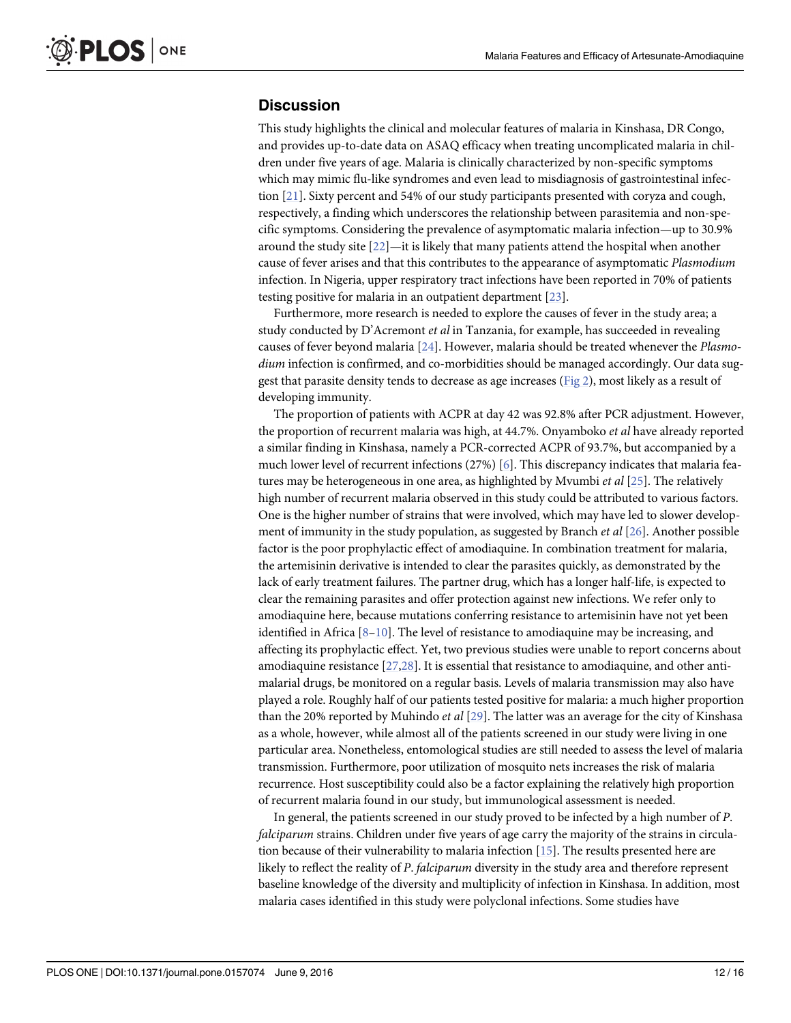## <span id="page-11-0"></span>**Discussion**

This study highlights the clinical and molecular features of malaria in Kinshasa, DR Congo, and provides up-to-date data on ASAQ efficacy when treating uncomplicated malaria in children under five years of age. Malaria is clinically characterized by non-specific symptoms which may mimic flu-like syndromes and even lead to misdiagnosis of gastrointestinal infection [[21](#page-14-0)]. Sixty percent and 54% of our study participants presented with coryza and cough, respectively, a finding which underscores the relationship between parasitemia and non-specific symptoms. Considering the prevalence of asymptomatic malaria infection—up to 30.9% around the study site  $[22]$  $[22]$  $[22]$ —it is likely that many patients attend the hospital when another cause of fever arises and that this contributes to the appearance of asymptomatic Plasmodium infection. In Nigeria, upper respiratory tract infections have been reported in 70% of patients testing positive for malaria in an outpatient department [\[23\]](#page-14-0).

Furthermore, more research is needed to explore the causes of fever in the study area; a study conducted by D'Acremont *et al* in Tanzania, for example, has succeeded in revealing causes of fever beyond malaria  $[24]$  $[24]$  $[24]$ . However, malaria should be treated whenever the *Plasmo*dium infection is confirmed, and co-morbidities should be managed accordingly. Our data suggest that parasite density tends to decrease as age increases [\(Fig 2\)](#page-8-0), most likely as a result of developing immunity.

The proportion of patients with ACPR at day 42 was 92.8% after PCR adjustment. However, the proportion of recurrent malaria was high, at 44.7%. Onyamboko et al have already reported a similar finding in Kinshasa, namely a PCR-corrected ACPR of 93.7%, but accompanied by a much lower level of recurrent infections (27%) [[6\]](#page-13-0). This discrepancy indicates that malaria features may be heterogeneous in one area, as highlighted by Mvumbi et al  $[25]$  $[25]$  $[25]$ . The relatively high number of recurrent malaria observed in this study could be attributed to various factors. One is the higher number of strains that were involved, which may have led to slower development of immunity in the study population, as suggested by Branch *et al* [\[26\]](#page-14-0). Another possible factor is the poor prophylactic effect of amodiaquine. In combination treatment for malaria, the artemisinin derivative is intended to clear the parasites quickly, as demonstrated by the lack of early treatment failures. The partner drug, which has a longer half-life, is expected to clear the remaining parasites and offer protection against new infections. We refer only to amodiaquine here, because mutations conferring resistance to artemisinin have not yet been identified in Africa  $[8-10]$  $[8-10]$  $[8-10]$  $[8-10]$  $[8-10]$ . The level of resistance to amodiaquine may be increasing, and affecting its prophylactic effect. Yet, two previous studies were unable to report concerns about amodiaquine resistance  $[27,28]$  $[27,28]$  $[27,28]$ . It is essential that resistance to amodiaquine, and other antimalarial drugs, be monitored on a regular basis. Levels of malaria transmission may also have played a role. Roughly half of our patients tested positive for malaria: a much higher proportion than the 20% reported by Muhindo *et al*  $[29]$  $[29]$ . The latter was an average for the city of Kinshasa as a whole, however, while almost all of the patients screened in our study were living in one particular area. Nonetheless, entomological studies are still needed to assess the level of malaria transmission. Furthermore, poor utilization of mosquito nets increases the risk of malaria recurrence. Host susceptibility could also be a factor explaining the relatively high proportion of recurrent malaria found in our study, but immunological assessment is needed.

In general, the patients screened in our study proved to be infected by a high number of P. falciparum strains. Children under five years of age carry the majority of the strains in circulation because of their vulnerability to malaria infection [\[15\]](#page-14-0). The results presented here are likely to reflect the reality of P. falciparum diversity in the study area and therefore represent baseline knowledge of the diversity and multiplicity of infection in Kinshasa. In addition, most malaria cases identified in this study were polyclonal infections. Some studies have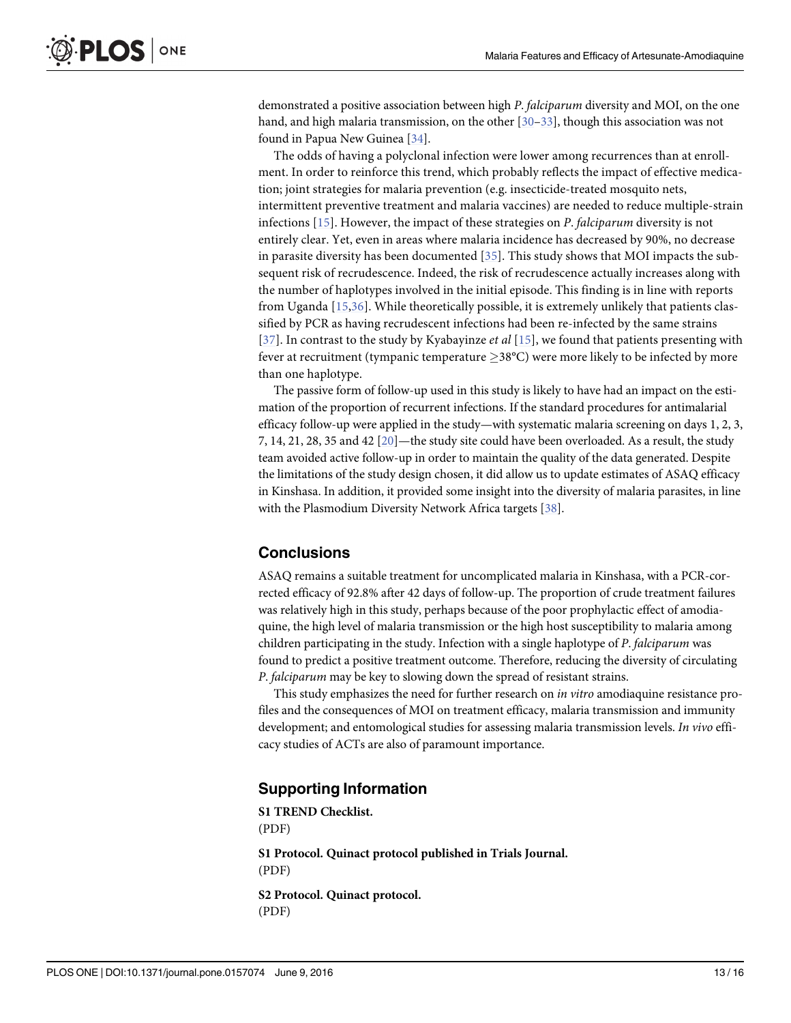<span id="page-12-0"></span>demonstrated a positive association between high P. falciparum diversity and MOI, on the one hand, and high malaria transmission, on the other [[30](#page-14-0)–[33](#page-14-0)], though this association was not found in Papua New Guinea [\[34\]](#page-15-0).

The odds of having a polyclonal infection were lower among recurrences than at enrollment. In order to reinforce this trend, which probably reflects the impact of effective medication; joint strategies for malaria prevention (e.g. insecticide-treated mosquito nets, intermittent preventive treatment and malaria vaccines) are needed to reduce multiple-strain infections  $[15]$  $[15]$ . However, the impact of these strategies on P. falciparum diversity is not entirely clear. Yet, even in areas where malaria incidence has decreased by 90%, no decrease in parasite diversity has been documented [\[35](#page-15-0)]. This study shows that MOI impacts the subsequent risk of recrudescence. Indeed, the risk of recrudescence actually increases along with the number of haplotypes involved in the initial episode. This finding is in line with reports from Uganda [[15,](#page-14-0)[36\]](#page-15-0). While theoretically possible, it is extremely unlikely that patients classified by PCR as having recrudescent infections had been re-infected by the same strains [[37](#page-15-0)]. In contrast to the study by Kyabayinze *et al* [\[15](#page-14-0)], we found that patients presenting with fever at recruitment (tympanic temperature  $>38^{\circ}$ C) were more likely to be infected by more than one haplotype.

The passive form of follow-up used in this study is likely to have had an impact on the estimation of the proportion of recurrent infections. If the standard procedures for antimalarial efficacy follow-up were applied in the study—with systematic malaria screening on days 1, 2, 3, 7, 14, 21, 28, 35 and 42  $[20]$ —the study site could have been overloaded. As a result, the study team avoided active follow-up in order to maintain the quality of the data generated. Despite the limitations of the study design chosen, it did allow us to update estimates of ASAQ efficacy in Kinshasa. In addition, it provided some insight into the diversity of malaria parasites, in line with the Plasmodium Diversity Network Africa targets [[38](#page-15-0)].

## **Conclusions**

ASAQ remains a suitable treatment for uncomplicated malaria in Kinshasa, with a PCR-corrected efficacy of 92.8% after 42 days of follow-up. The proportion of crude treatment failures was relatively high in this study, perhaps because of the poor prophylactic effect of amodiaquine, the high level of malaria transmission or the high host susceptibility to malaria among children participating in the study. Infection with a single haplotype of P. falciparum was found to predict a positive treatment outcome. Therefore, reducing the diversity of circulating P. falciparum may be key to slowing down the spread of resistant strains.

This study emphasizes the need for further research on *in vitro* amodiaquine resistance profiles and the consequences of MOI on treatment efficacy, malaria transmission and immunity development; and entomological studies for assessing malaria transmission levels. In vivo efficacy studies of ACTs are also of paramount importance.

## Supporting Information

[S1 TREND Checklist](http://www.plosone.org/article/fetchSingleRepresentation.action?uri=info:doi/10.1371/journal.pone.0157074.s001). (PDF) [S1 Protocol.](http://www.plosone.org/article/fetchSingleRepresentation.action?uri=info:doi/10.1371/journal.pone.0157074.s002) Quinact protocol published in Trials Journal. (PDF) [S2 Protocol.](http://www.plosone.org/article/fetchSingleRepresentation.action?uri=info:doi/10.1371/journal.pone.0157074.s003) Quinact protocol.

(PDF)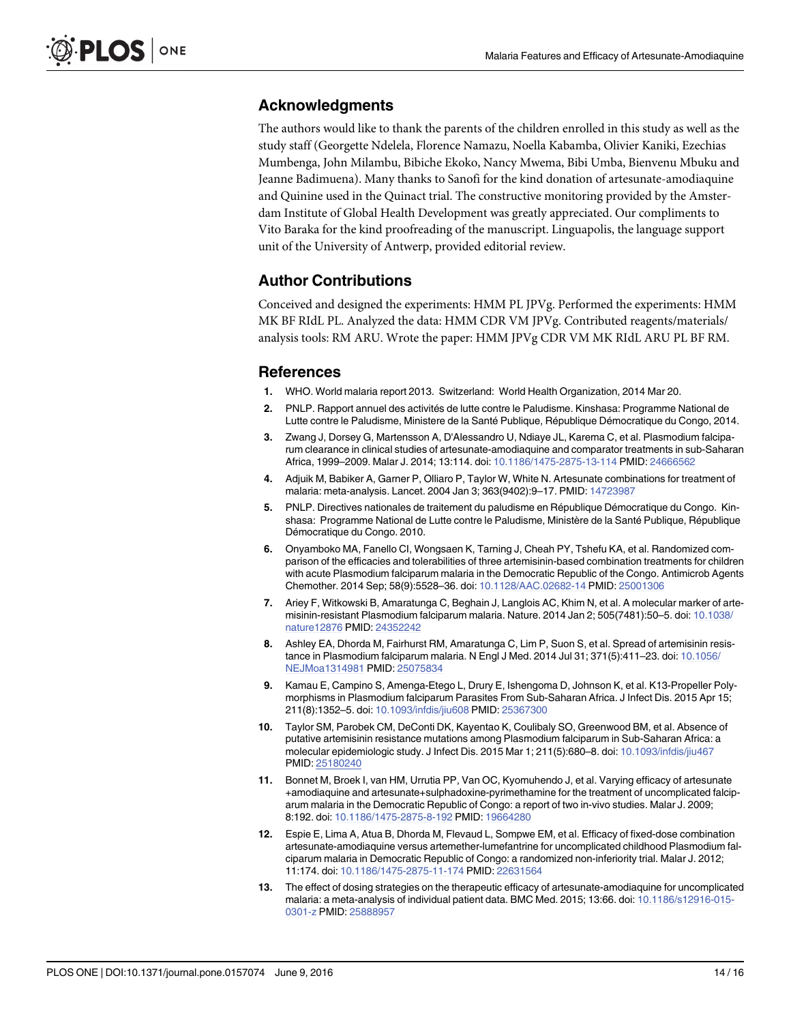## <span id="page-13-0"></span>Acknowledgments

The authors would like to thank the parents of the children enrolled in this study as well as the study staff (Georgette Ndelela, Florence Namazu, Noella Kabamba, Olivier Kaniki, Ezechias Mumbenga, John Milambu, Bibiche Ekoko, Nancy Mwema, Bibi Umba, Bienvenu Mbuku and Jeanne Badimuena). Many thanks to Sanofi for the kind donation of artesunate-amodiaquine and Quinine used in the Quinact trial. The constructive monitoring provided by the Amsterdam Institute of Global Health Development was greatly appreciated. Our compliments to Vito Baraka for the kind proofreading of the manuscript. Linguapolis, the language support unit of the University of Antwerp, provided editorial review.

## Author Contributions

Conceived and designed the experiments: HMM PL JPVg. Performed the experiments: HMM MK BF RIdL PL. Analyzed the data: HMM CDR VM JPVg. Contributed reagents/materials/ analysis tools: RM ARU. Wrote the paper: HMM JPVg CDR VM MK RIdL ARU PL BF RM.

## References

- [1.](#page-1-0) WHO. World malaria report 2013. Switzerland: World Health Organization, 2014 Mar 20.
- [2.](#page-1-0) PNLP. Rapport annuel des activités de lutte contre le Paludisme. Kinshasa: Programme National de Lutte contre le Paludisme, Ministere de la Santé Publique, République Démocratique du Congo, 2014.
- [3.](#page-1-0) Zwang J, Dorsey G, Martensson A, D'Alessandro U, Ndiaye JL, Karema C, et al. Plasmodium falciparum clearance in clinical studies of artesunate-amodiaquine and comparator treatments in sub-Saharan Africa, 1999–2009. Malar J. 2014; 13:114. doi: [10.1186/1475-2875-13-114](http://dx.doi.org/10.1186/1475-2875-13-114) PMID: [24666562](http://www.ncbi.nlm.nih.gov/pubmed/24666562)
- [4.](#page-1-0) Adjuik M, Babiker A, Garner P, Olliaro P, Taylor W, White N. Artesunate combinations for treatment of malaria: meta-analysis. Lancet. 2004 Jan 3; 363(9402):9–17. PMID: [14723987](http://www.ncbi.nlm.nih.gov/pubmed/14723987)
- [5.](#page-1-0) PNLP. Directives nationales de traitement du paludisme en République Démocratique du Congo. Kinshasa: Programme National de Lutte contre le Paludisme, Ministère de la Santé Publique, République Démocratique du Congo. 2010.
- [6.](#page-1-0) Onyamboko MA, Fanello CI, Wongsaen K, Tarning J, Cheah PY, Tshefu KA, et al. Randomized comparison of the efficacies and tolerabilities of three artemisinin-based combination treatments for children with acute Plasmodium falciparum malaria in the Democratic Republic of the Congo. Antimicrob Agents Chemother. 2014 Sep; 58(9):5528–36. doi: [10.1128/AAC.02682-14](http://dx.doi.org/10.1128/AAC.02682-14) PMID: [25001306](http://www.ncbi.nlm.nih.gov/pubmed/25001306)
- [7.](#page-1-0) Ariey F, Witkowski B, Amaratunga C, Beghain J, Langlois AC, Khim N, et al. A molecular marker of artemisinin-resistant Plasmodium falciparum malaria. Nature. 2014 Jan 2; 505(7481):50–5. doi: [10.1038/](http://dx.doi.org/10.1038/nature12876) [nature12876](http://dx.doi.org/10.1038/nature12876) PMID: [24352242](http://www.ncbi.nlm.nih.gov/pubmed/24352242)
- [8.](#page-1-0) Ashley EA, Dhorda M, Fairhurst RM, Amaratunga C, Lim P, Suon S, et al. Spread of artemisinin resistance in Plasmodium falciparum malaria. N Engl J Med. 2014 Jul 31; 371(5):411–23. doi: [10.1056/](http://dx.doi.org/10.1056/NEJMoa1314981) [NEJMoa1314981](http://dx.doi.org/10.1056/NEJMoa1314981) PMID: [25075834](http://www.ncbi.nlm.nih.gov/pubmed/25075834)
- 9. Kamau E, Campino S, Amenga-Etego L, Drury E, Ishengoma D, Johnson K, et al. K13-Propeller Polymorphisms in Plasmodium falciparum Parasites From Sub-Saharan Africa. J Infect Dis. 2015 Apr 15; 211(8):1352–5. doi: [10.1093/infdis/jiu608](http://dx.doi.org/10.1093/infdis/jiu608) PMID: [25367300](http://www.ncbi.nlm.nih.gov/pubmed/25367300)
- [10.](#page-1-0) Taylor SM, Parobek CM, DeConti DK, Kayentao K, Coulibaly SO, Greenwood BM, et al. Absence of putative artemisinin resistance mutations among Plasmodium falciparum in Sub-Saharan Africa: a molecular epidemiologic study. J Infect Dis. 2015 Mar 1; 211(5):680–8. doi: [10.1093/infdis/jiu467](http://dx.doi.org/10.1093/infdis/jiu467) PMID: [25180240](http://www.ncbi.nlm.nih.gov/pubmed/25180240)
- [11.](#page-1-0) Bonnet M, Broek I, van HM, Urrutia PP, Van OC, Kyomuhendo J, et al. Varying efficacy of artesunate +amodiaquine and artesunate+sulphadoxine-pyrimethamine for the treatment of uncomplicated falciparum malaria in the Democratic Republic of Congo: a report of two in-vivo studies. Malar J. 2009; 8:192. doi: [10.1186/1475-2875-8-192](http://dx.doi.org/10.1186/1475-2875-8-192) PMID: [19664280](http://www.ncbi.nlm.nih.gov/pubmed/19664280)
- [12.](#page-1-0) Espie E, Lima A, Atua B, Dhorda M, Flevaud L, Sompwe EM, et al. Efficacy of fixed-dose combination artesunate-amodiaquine versus artemether-lumefantrine for uncomplicated childhood Plasmodium falciparum malaria in Democratic Republic of Congo: a randomized non-inferiority trial. Malar J. 2012; 11:174. doi: [10.1186/1475-2875-11-174](http://dx.doi.org/10.1186/1475-2875-11-174) PMID: [22631564](http://www.ncbi.nlm.nih.gov/pubmed/22631564)
- [13.](#page-1-0) The effect of dosing strategies on the therapeutic efficacy of artesunate-amodiaquine for uncomplicated malaria: a meta-analysis of individual patient data. BMC Med. 2015; 13:66. doi: [10.1186/s12916-015-](http://dx.doi.org/10.1186/s12916-015-0301-z) [0301-z](http://dx.doi.org/10.1186/s12916-015-0301-z) PMID: [25888957](http://www.ncbi.nlm.nih.gov/pubmed/25888957)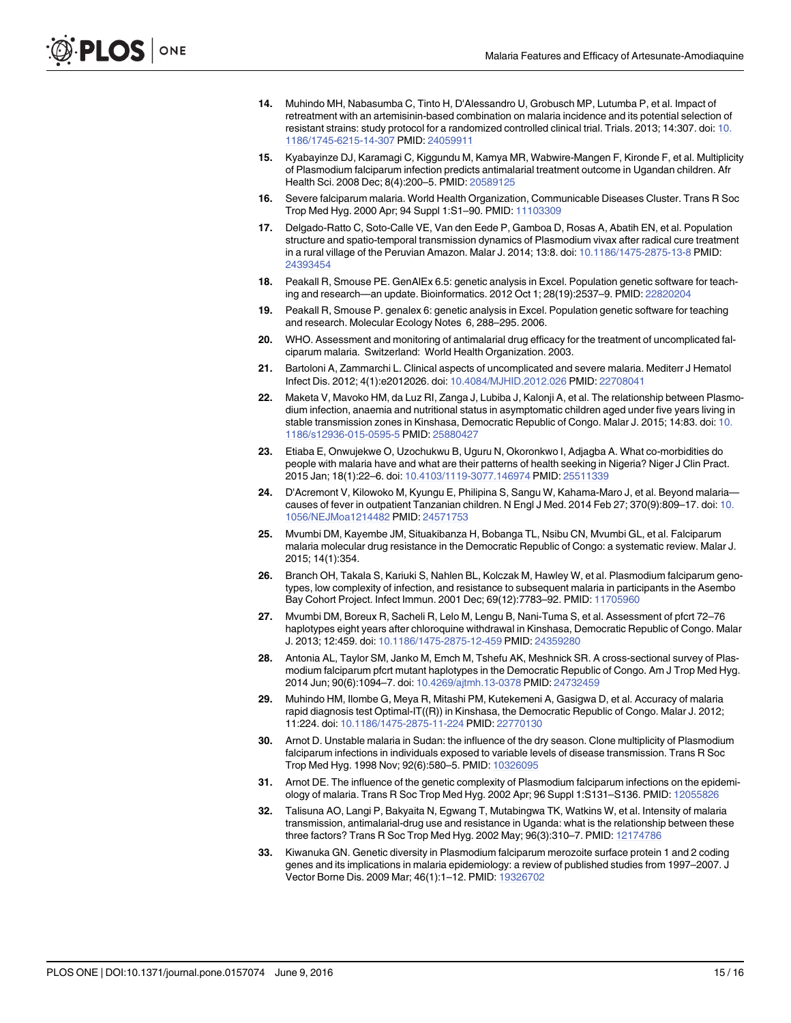- <span id="page-14-0"></span>[14.](#page-1-0) Muhindo MH, Nabasumba C, Tinto H, D'Alessandro U, Grobusch MP, Lutumba P, et al. Impact of retreatment with an artemisinin-based combination on malaria incidence and its potential selection of resistant strains: study protocol for a randomized controlled clinical trial. Trials. 2013; 14:307. doi: [10.](http://dx.doi.org/10.1186/1745-6215-14-307) [1186/1745-6215-14-307](http://dx.doi.org/10.1186/1745-6215-14-307) PMID: [24059911](http://www.ncbi.nlm.nih.gov/pubmed/24059911)
- [15.](#page-1-0) Kyabayinze DJ, Karamagi C, Kiggundu M, Kamya MR, Wabwire-Mangen F, Kironde F, et al. Multiplicity of Plasmodium falciparum infection predicts antimalarial treatment outcome in Ugandan children. Afr Health Sci. 2008 Dec; 8(4):200–5. PMID: [20589125](http://www.ncbi.nlm.nih.gov/pubmed/20589125)
- [16.](#page-2-0) Severe falciparum malaria. World Health Organization, Communicable Diseases Cluster. Trans R Soc Trop Med Hyg. 2000 Apr; 94 Suppl 1:S1–90. PMID: [11103309](http://www.ncbi.nlm.nih.gov/pubmed/11103309)
- [17.](#page-4-0) Delgado-Ratto C, Soto-Calle VE, Van den Eede P, Gamboa D, Rosas A, Abatih EN, et al. Population structure and spatio-temporal transmission dynamics of Plasmodium vivax after radical cure treatment in a rural village of the Peruvian Amazon. Malar J. 2014; 13:8. doi: [10.1186/1475-2875-13-8](http://dx.doi.org/10.1186/1475-2875-13-8) PMID: [24393454](http://www.ncbi.nlm.nih.gov/pubmed/24393454)
- [18.](#page-4-0) Peakall R, Smouse PE. GenAlEx 6.5: genetic analysis in Excel. Population genetic software for teaching and research—an update. Bioinformatics. 2012 Oct 1; 28(19):2537–9. PMID: [22820204](http://www.ncbi.nlm.nih.gov/pubmed/22820204)
- [19.](#page-4-0) Peakall R, Smouse P. genalex 6: genetic analysis in Excel. Population genetic software for teaching and research. Molecular Ecology Notes 6, 288–295. 2006.
- [20.](#page-5-0) WHO. Assessment and monitoring of antimalarial drug efficacy for the treatment of uncomplicated falciparum malaria. Switzerland: World Health Organization. 2003.
- [21.](#page-11-0) Bartoloni A, Zammarchi L. Clinical aspects of uncomplicated and severe malaria. Mediterr J Hematol Infect Dis. 2012; 4(1):e2012026. doi: [10.4084/MJHID.2012.026](http://dx.doi.org/10.4084/MJHID.2012.026) PMID: [22708041](http://www.ncbi.nlm.nih.gov/pubmed/22708041)
- [22.](#page-11-0) Maketa V, Mavoko HM, da Luz RI, Zanga J, Lubiba J, Kalonji A, et al. The relationship between Plasmodium infection, anaemia and nutritional status in asymptomatic children aged under five years living in stable transmission zones in Kinshasa, Democratic Republic of Congo. Malar J. 2015; 14:83. doi: [10.](http://dx.doi.org/10.1186/s12936-015-0595-5) [1186/s12936-015-0595-5](http://dx.doi.org/10.1186/s12936-015-0595-5) PMID: [25880427](http://www.ncbi.nlm.nih.gov/pubmed/25880427)
- [23.](#page-11-0) Etiaba E, Onwujekwe O, Uzochukwu B, Uguru N, Okoronkwo I, Adjagba A. What co-morbidities do people with malaria have and what are their patterns of health seeking in Nigeria? Niger J Clin Pract. 2015 Jan; 18(1):22–6. doi: [10.4103/1119-3077.146974](http://dx.doi.org/10.4103/1119-3077.146974) PMID: [25511339](http://www.ncbi.nlm.nih.gov/pubmed/25511339)
- [24.](#page-11-0) D'Acremont V, Kilowoko M, Kyungu E, Philipina S, Sangu W, Kahama-Maro J, et al. Beyond malariacauses of fever in outpatient Tanzanian children. N Engl J Med. 2014 Feb 27; 370(9):809–17. doi: [10.](http://dx.doi.org/10.1056/NEJMoa1214482) [1056/NEJMoa1214482](http://dx.doi.org/10.1056/NEJMoa1214482) PMID: [24571753](http://www.ncbi.nlm.nih.gov/pubmed/24571753)
- [25.](#page-11-0) Mvumbi DM, Kayembe JM, Situakibanza H, Bobanga TL, Nsibu CN, Mvumbi GL, et al. Falciparum malaria molecular drug resistance in the Democratic Republic of Congo: a systematic review. Malar J. 2015; 14(1):354.
- [26.](#page-11-0) Branch OH, Takala S, Kariuki S, Nahlen BL, Kolczak M, Hawley W, et al. Plasmodium falciparum genotypes, low complexity of infection, and resistance to subsequent malaria in participants in the Asembo Bay Cohort Project. Infect Immun. 2001 Dec; 69(12):7783–92. PMID: [11705960](http://www.ncbi.nlm.nih.gov/pubmed/11705960)
- [27.](#page-11-0) Mvumbi DM, Boreux R, Sacheli R, Lelo M, Lengu B, Nani-Tuma S, et al. Assessment of pfcrt 72–76 haplotypes eight years after chloroquine withdrawal in Kinshasa, Democratic Republic of Congo. Malar J. 2013; 12:459. doi: [10.1186/1475-2875-12-459](http://dx.doi.org/10.1186/1475-2875-12-459) PMID: [24359280](http://www.ncbi.nlm.nih.gov/pubmed/24359280)
- [28.](#page-11-0) Antonia AL, Taylor SM, Janko M, Emch M, Tshefu AK, Meshnick SR. A cross-sectional survey of Plasmodium falciparum pfcrt mutant haplotypes in the Democratic Republic of Congo. Am J Trop Med Hyg. 2014 Jun; 90(6):1094–7. doi: [10.4269/ajtmh.13-0378](http://dx.doi.org/10.4269/ajtmh.13-0378) PMID: [24732459](http://www.ncbi.nlm.nih.gov/pubmed/24732459)
- [29.](#page-11-0) Muhindo HM, Ilombe G, Meya R, Mitashi PM, Kutekemeni A, Gasigwa D, et al. Accuracy of malaria rapid diagnosis test Optimal-IT((R)) in Kinshasa, the Democratic Republic of Congo. Malar J. 2012; 11:224. doi: [10.1186/1475-2875-11-224](http://dx.doi.org/10.1186/1475-2875-11-224) PMID: [22770130](http://www.ncbi.nlm.nih.gov/pubmed/22770130)
- [30.](#page-12-0) Arnot D. Unstable malaria in Sudan: the influence of the dry season. Clone multiplicity of Plasmodium falciparum infections in individuals exposed to variable levels of disease transmission. Trans R Soc Trop Med Hyg. 1998 Nov; 92(6):580–5. PMID: [10326095](http://www.ncbi.nlm.nih.gov/pubmed/10326095)
- 31. Arnot DE. The influence of the genetic complexity of Plasmodium falciparum infections on the epidemiology of malaria. Trans R Soc Trop Med Hyg. 2002 Apr; 96 Suppl 1:S131–S136. PMID: [12055826](http://www.ncbi.nlm.nih.gov/pubmed/12055826)
- 32. Talisuna AO, Langi P, Bakyaita N, Egwang T, Mutabingwa TK, Watkins W, et al. Intensity of malaria transmission, antimalarial-drug use and resistance in Uganda: what is the relationship between these three factors? Trans R Soc Trop Med Hyg. 2002 May; 96(3):310–7. PMID: [12174786](http://www.ncbi.nlm.nih.gov/pubmed/12174786)
- [33.](#page-12-0) Kiwanuka GN. Genetic diversity in Plasmodium falciparum merozoite surface protein 1 and 2 coding genes and its implications in malaria epidemiology: a review of published studies from 1997–2007. J Vector Borne Dis. 2009 Mar; 46(1):1–12. PMID: [19326702](http://www.ncbi.nlm.nih.gov/pubmed/19326702)